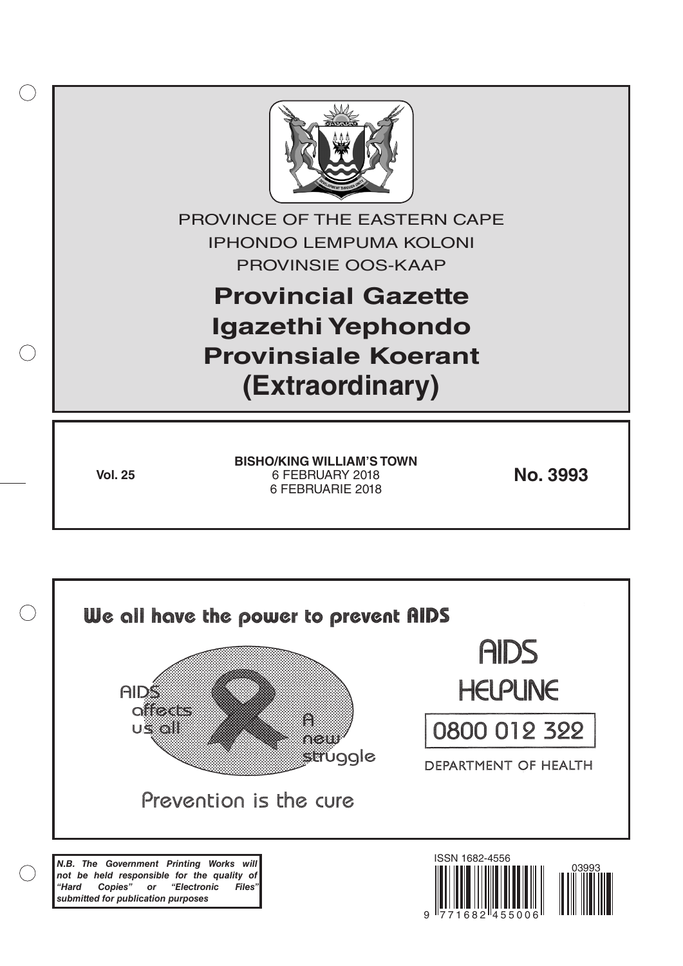

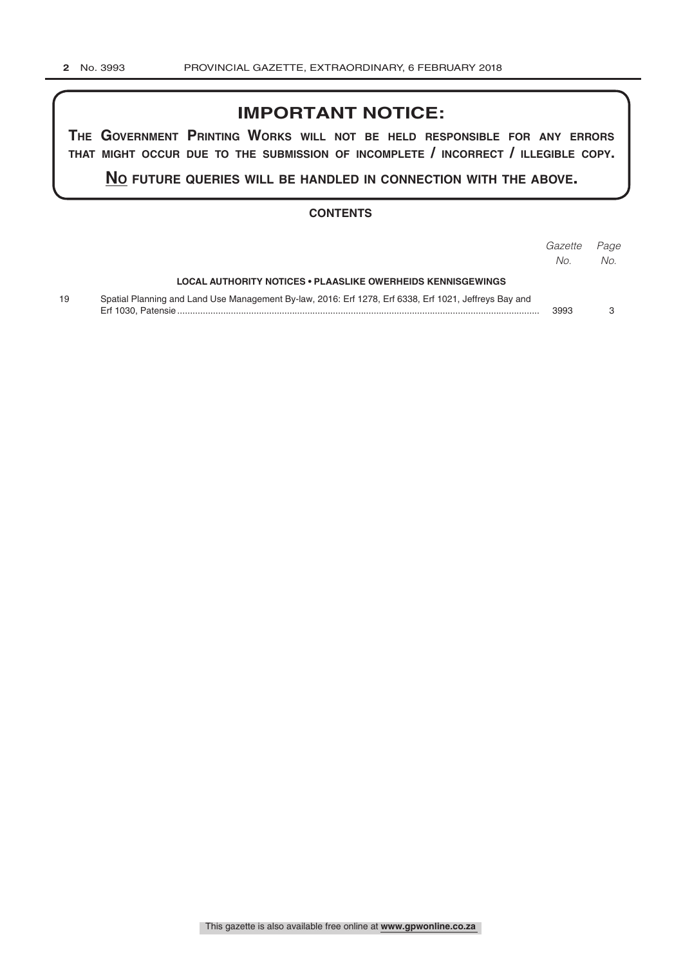# **IMPORTANT NOTICE:**

**The GovernmenT PrinTinG Works Will noT be held resPonsible for any errors ThaT miGhT occur due To The submission of incomPleTe / incorrecT / illeGible coPy.**

**no fuTure queries Will be handled in connecTion WiTh The above.**

#### **CONTENTS**

|    |                                                                                                       | Gazette<br>No. | Page<br>No. |
|----|-------------------------------------------------------------------------------------------------------|----------------|-------------|
|    | LOCAL AUTHORITY NOTICES • PLAASLIKE OWERHEIDS KENNISGEWINGS                                           |                |             |
| 19 | Spatial Planning and Land Use Management By-law, 2016: Erf 1278, Erf 6338, Erf 1021, Jeffreys Bay and | 3993           |             |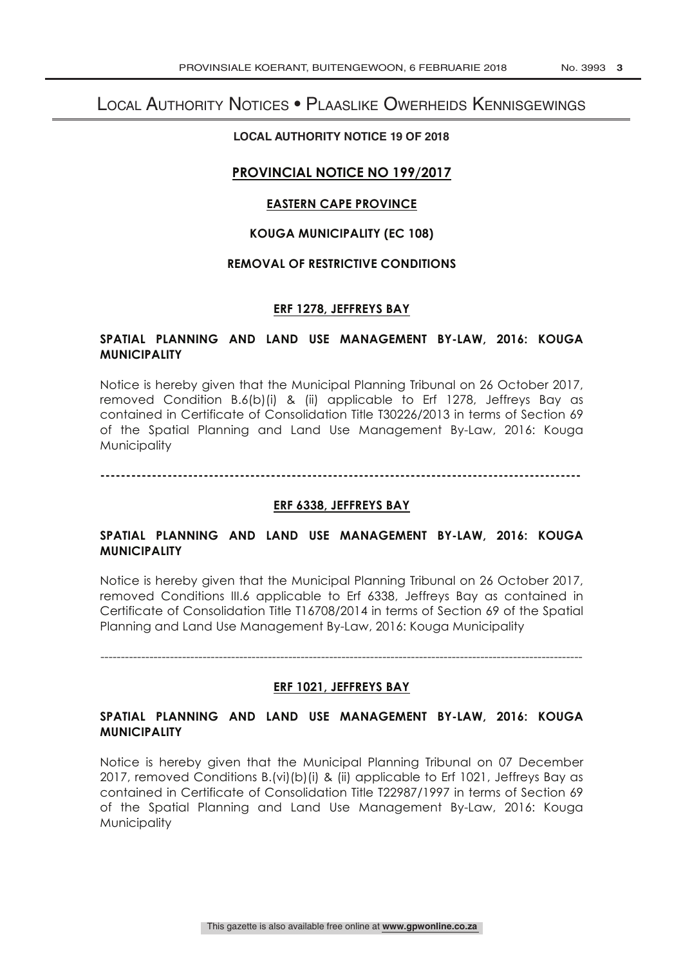## Local Authority Notices • Plaaslike Owerheids Kennisgewings

#### **LOCAL AUTHORITY NOTICE 19 OF 2018**

### **PROVINCIAL NOTICE NO 199/2017**

#### **EASTERN CAPE PROVINCE**

#### **KOUGA MUNICIPALITY (EC 108)**

#### **REMOVAL OF RESTRICTIVE CONDITIONS**

#### **ERF 1278, JEFFREYS BAY**

#### **SPATIAL PLANNING AND LAND USE MANAGEMENT BY-LAW, 2016: KOUGA MUNICIPALITY**

Notice is hereby given that the Municipal Planning Tribunal on 26 October 2017, removed Condition B.6(b)(i) & (ii) applicable to Erf 1278, Jeffreys Bay as contained in Certificate of Consolidation Title T30226/2013 in terms of Section 69 of the Spatial Planning and Land Use Management By-Law, 2016: Kouga **Municipality** 

**---------------------------------------------------------------------------------------------**

#### **ERF 6338, JEFFREYS BAY**

#### **SPATIAL PLANNING AND LAND USE MANAGEMENT BY-LAW, 2016: KOUGA MUNICIPALITY**

Notice is hereby given that the Municipal Planning Tribunal on 26 October 2017, removed Conditions III.6 applicable to Erf 6338, Jeffreys Bay as contained in Certificate of Consolidation Title T16708/2014 in terms of Section 69 of the Spatial Planning and Land Use Management By-Law, 2016: Kouga Municipality

----------------------------------------------------------------------------------------------------------------------

#### **ERF 1021, JEFFREYS BAY**

#### **SPATIAL PLANNING AND LAND USE MANAGEMENT BY-LAW, 2016: KOUGA MUNICIPALITY**

Notice is hereby given that the Municipal Planning Tribunal on 07 December 2017, removed Conditions B.(vi)(b)(i) & (ii) applicable to Erf 1021, Jeffreys Bay as contained in Certificate of Consolidation Title T22987/1997 in terms of Section 69 of the Spatial Planning and Land Use Management By-Law, 2016: Kouga **Municipality**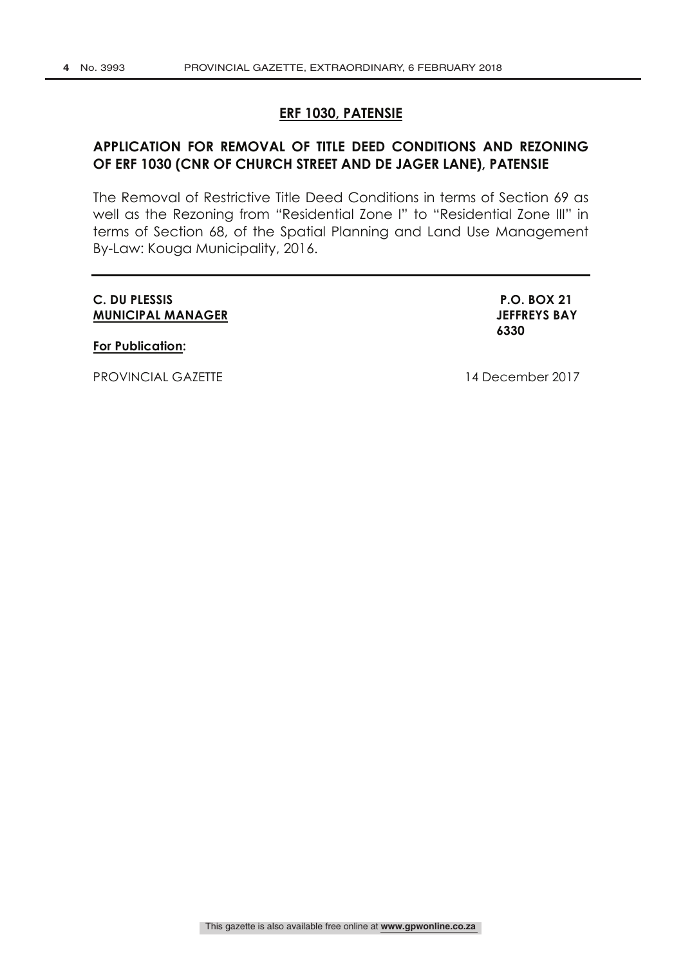#### **ERF 1030, PATENSIE**

## **APPLICATION FOR REMOVAL OF TITLE DEED CONDITIONS AND REZONING OF ERF 1030 (CNR OF CHURCH STREET AND DE JAGER LANE), PATENSIE**

The Removal of Restrictive Title Deed Conditions in terms of Section 69 as well as the Rezoning from "Residential Zone I" to "Residential Zone III" in terms of Section 68, of the Spatial Planning and Land Use Management By-Law: Kouga Municipality, 2016.

#### **C. DU PLESSIS P.O. BOX 21 MUNICIPAL MANAGER IN THE SERVICE OF A SERVICE OF A SERVICE OF A SERVICE OF A SERVICE OF A SERVICE OF A SERVICE OF A SERVICE OF A SERVICE OF A SERVICE OF A SERVICE OF A SERVICE OF A SERVICE OF A SERVICE OF A SERVICE OF A S**

 **6330**

**For Publication:** 

PROVINCIAL GAZETTE 14 December 2017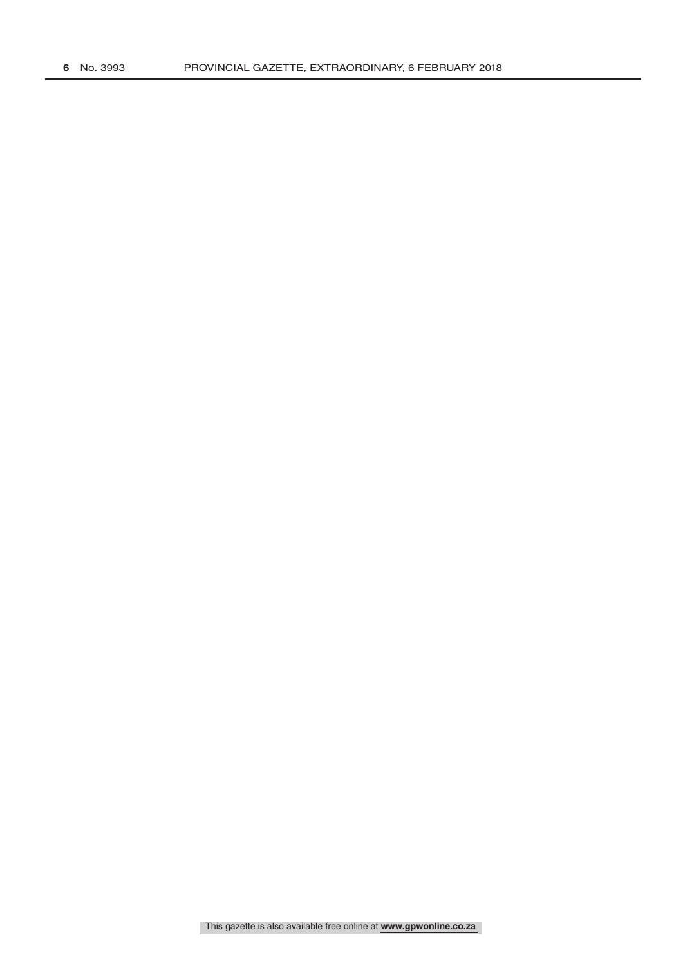This gazette is also available free online at **www.gpwonline.co.za**